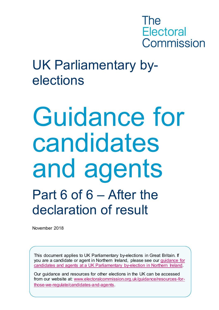

## UK Parliamentary byelections

# Guidance for candidates and agents Part 6 of 6 – After the declaration of result

November 2018

This document applies to UK Parliamentary by-elections in Great Britain. If you are a candidate or agent in Northern Ireland, please see our [guidance for](http://www.electoralcommission.org.uk/i-am-a/candidate-or-agent/uk-parliamentary-by-elections-Northern-Ireland)  [candidates and agents at a UK Parliamentary by-election in Northern Ireland.](http://www.electoralcommission.org.uk/i-am-a/candidate-or-agent/uk-parliamentary-by-elections-Northern-Ireland)

Our guidance and resources for other elections in the UK can be accessed from our website at: [www.electoralcommission.org.uk/guidance/resources-for](http://www.electoralcommission.org.uk/guidance/resources-for-those-we-regulate/candidates-and-agents)[those-we-regulate/candidates-and-agents.](http://www.electoralcommission.org.uk/guidance/resources-for-those-we-regulate/candidates-and-agents)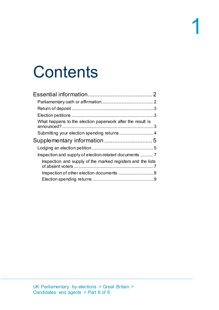## **Contents**

|                                                             | $\mathcal{P}$ |
|-------------------------------------------------------------|---------------|
|                                                             |               |
|                                                             |               |
| What happens to the election paperwork after the result is  |               |
|                                                             |               |
|                                                             |               |
|                                                             |               |
| Inspection and supply of election-related documents 7       |               |
| Inspection and supply of the marked registers and the lists |               |
|                                                             |               |
|                                                             |               |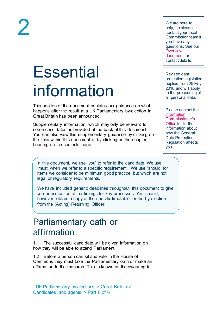# 2

<span id="page-2-0"></span>**Essential** information

This section of the document contains our guidance on what happens after the result at a UK Parliamentary by-election in Great Britain has been announced.

Supplementary information, which may only be relevant to some candidates, is provided at the back of this document. You can also view this supplementary guidance by clicking on the links within this document or by clicking on the chapter heading on the contents page.

In this document, we use 'you' to refer to the candidate. We use 'must' when we refer to a specific requirement. We use 'should' for items we consider to be minimum good practice, but which are not legal or regulatory requirements.

We have included generic deadlines throughout this document to give you an indication of the timings for key processes. You should, however, obtain a copy of the specific timetable for the by-election from the (Acting) Returning Officer.

### <span id="page-2-1"></span>Parliamentary oath or affirmation

1.1 The successful candidate will be given information on how they will be able to attend Parliament.

1.2 Before a person can sit and vote in the House of Commons they must take the Parliamentary oath or make an affirmation to the monarch. This is known as the swearing in.

We are here to help, so please contact your local Commission team if you have any questions. See our **Overview** [document](http://www.electoralcommission.org.uk/__data/assets/pdf_file/0018/214227/Parliamentary-By-Election-Overview.pdf) for contact details.

Revised data protection legislation applies from 25 May 2018 and will apply to the processing of all personal data.

Please contact the [Information](https://ico.org.uk/for-organisations/guide-to-the-general-data-protection-regulation-gdpr/)  [Commissioner's](https://ico.org.uk/for-organisations/guide-to-the-general-data-protection-regulation-gdpr/)  [Office](https://ico.org.uk/for-organisations/guide-to-the-general-data-protection-regulation-gdpr/) for further information about how the General Data Protection Regulation affects you.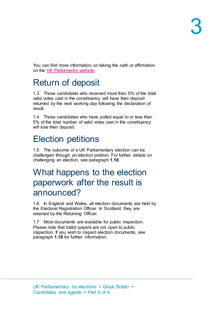You can find more information on taking the oath or affirmation on the [UK Parliament's website.](http://www.parliament.uk/about/how/elections-and-voting/swearingin/)

## <span id="page-3-0"></span>Return of deposit

1.3 Those candidates who received more than 5% of the total valid votes cast in the constituency will have their deposit returned by the next working day following the declaration of result.

1.4 Those candidates who have polled equal to or less than 5% of the total number of valid votes cast in the constituency will lose their deposit.

## <span id="page-3-1"></span>Election petitions

1.5 The outcome of a UK Parliamentary election can be challenged through an election petition. For further details on challenging an election, see paragraph **[1.10](#page-5-2)**.

### <span id="page-3-2"></span>What happens to the election paperwork after the result is announced?

1.6 In England and Wales, all election documents are held by the Electoral Registration Officer. In Scotland, they are retained by the Returning Officer.

1.7 Most documents are available for public inspection. Please note that ballot papers are not open to public inspection. If you wish to inspect election documents, see paragraph **[1.18](#page-7-2)** for further information.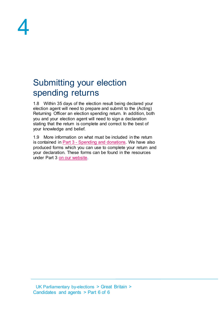

## <span id="page-4-0"></span>Submitting your election spending returns

1.8 Within 35 days of the election result being declared your election agent will need to prepare and submit to the (Acting) Returning Officer an election spending return. In addition, both you and your election agent will need to sign a declaration stating that the return is complete and correct to the best of your knowledge and belief.

1.9 More information on what must be included in the return is contained in Part 3 - [Spending and donations.](http://www.electoralcommission.org.uk/__data/assets/pdf_file/0003/214248/Parliamentary-By-Election-Part-3-Spending-and-donations.pdf) We have also produced forms which you can use to complete your return and your declaration. These forms can be found in the resources under Part 3 [on our website.](http://www.electoralcommission.org.uk/i-am-a/candidate-or-agent/uk-parliamentary-by-elections-great-britain/_recache)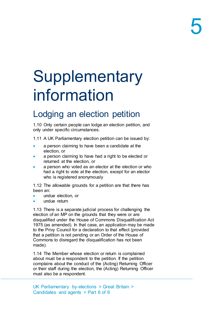## <span id="page-5-0"></span>**Supplementary** information

## <span id="page-5-1"></span>Lodging an election petition

<span id="page-5-2"></span>1.10 Only certain people can lodge an election petition, and only under specific circumstances.

1.11 A UK Parliamentary election petition can be issued by:

- a person claiming to have been a candidate at the election, or
- a person claiming to have had a right to be elected or returned at the election, or
- a person who voted as an elector at the election or who had a right to vote at the election, except for an elector who is registered anonymously

1.12 The allowable grounds for a petition are that there has been an:

- undue election, or
- undue return

1.13 There is a separate judicial process for challenging the election of an MP on the grounds that they were or are disqualified under the House of Commons Disqualification Act 1975 (as amended). In that case, an application may be made to the Privy Council for a declaration to that effect (provided that a petition is not pending or an Order of the House of Commons to disregard the disqualification has not been made).

1.14 The Member whose election or return is complained about must be a respondent to the petition. If the petition complains about the conduct of the (Acting) Returning Officer or their staff during the election, the (Acting) Returning Officer must also be a respondent.

UK Parliamentary by-elections > Great Britain > Candidates and agents > Part 6 of 6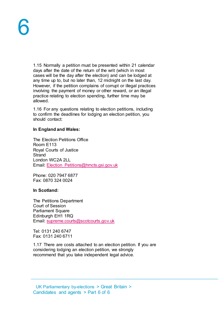1.15 Normally a petition must be presented within 21 calendar days after the date of the return of the writ (which in most cases will be the day after the election) and can be lodged at any time up to, but no later than, 12 midnight on the last day. However, if the petition complains of corrupt or illegal practices involving the payment of money or other reward, or an illegal practice relating to election spending, further time may be allowed.

1.16 For any questions relating to election petitions, including to confirm the deadlines for lodging an election petition, you should contact:

#### **In England and Wales:**

The Election Petitions Office Room E113 Royal Courts of Justice **Strand** London WC2A 2LL Email: [Election\\_Petitions@hmcts.gsi.gov.uk](mailto:Election_Petitions@hmcts.gsi.gov.uk)

Phone: 020 7947 6877 Fax: 0870 324 0024

#### **In Scotland:**

The Petitions Department Court of Session Parliament Square Edinburgh EH1 1RQ Email: [supreme.courts@scotcourts.gov.uk](mailto:supreme.courts@scotcourts.gov.uk)

Tel: 0131 240 6747 Fax: 0131 240 6711

1.17 There are costs attached to an election petition. If you are considering lodging an election petition, we strongly recommend that you take independent legal advice.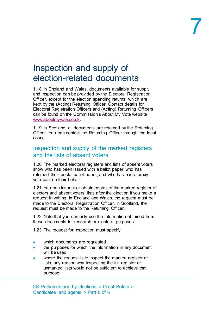### <span id="page-7-0"></span>Inspection and supply of election-related documents

<span id="page-7-2"></span>1.18 In England and Wales, documents available for supply and inspection can be provided by the Electoral Registration Officer, except for the election spending returns, which are kept by the (Acting) Returning Officer. Contact details for Electoral Registration Officers and (Acting) Returning Officers can be found on the Commission's About My Vote website [www.aboutmyvote.co.uk.](http://www.aboutmyvote.co.uk/)

1.19 In Scotland, all documents are retained by the Returning Officer. You can contact the Returning Officer through the local council.

### <span id="page-7-1"></span>Inspection and supply of the marked registers and the lists of absent voters

1.20 The marked electoral registers and lists of absent voters show who has been issued with a ballot paper, who has returned their postal ballot paper, and who has had a proxy vote cast on their behalf.

1.21 You can inspect or obtain copies of the marked register of electors and absent voters' lists after the election if you make a request in writing. In England and Wales, the request must be made to the Electoral Registration Officer. In Scotland, the request must be made to the Returning Officer.

1.22 Note that you can only use the information obtained from these documents for research or electoral purposes.

1.23 The request for inspection must specify:

- which documents are requested
- the purposes for which the information in any document will be used
- where the request is to inspect the marked register or lists, any reason why inspecting the full register or unmarked lists would not be sufficient to achieve that purpose

UK Parliamentary by-elections > Great Britain > Candidates and agents > Part 6 of 6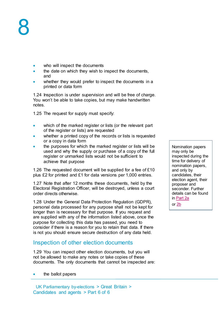- who will inspect the documents
- the date on which they wish to inspect the documents, and
- whether they would prefer to inspect the documents in a printed or data form

1.24 Inspection is under supervision and will be free of charge. You won't be able to take copies, but may make handwritten notes.

1.25 The request for supply must specify:

- which of the marked register or lists (or the relevant part of the register or lists) are requested
- whether a printed copy of the records or lists is requested or a copy in data form
- the purposes for which the marked register or lists will be used and why the supply or purchase of a copy of the full register or unmarked lists would not be sufficient to achieve that purpose

1.26 The requested document will be supplied for a fee of £10 plus £2 for printed and £1 for data versions per 1,000 entries.

1.27 Note that after 12 months these documents, held by the Electoral Registration Officer, will be destroyed, unless a court order directs otherwise.

1.28 Under the General Data Protection Regulation (GDPR), personal data processed for any purpose shall not be kept for longer than is necessary for that purpose. If you request and are supplied with any of the information listed above, once the purpose for collecting this data has passed, you need to consider if there is a reason for you to retain that data. If there is not you should ensure secure destruction of any data held.

### <span id="page-8-0"></span>Inspection of other election documents

1.29 You can inspect other election documents, but you will not be allowed to make any notes or take copies of these documents. The only documents that cannot be inspected are:

the ballot papers

UK Parliamentary by-elections > Great Britain > Candidates and agents > Part 6 of 6

Nomination papers may only be inspected during the time for delivery of nomination papers, and only by candidates, their election agent, their proposer and seconder. Further details can be found in [Part 2a](http://www.electoralcommission.org.uk/__data/assets/pdf_file/0020/214229/Parliamentary-By-Election-Part-2a-Standing-as-an-independent-candidate.pdf) or [2b](http://www.electoralcommission.org.uk/__data/assets/pdf_file/0012/214230/Parliamentary-By-Election-Part-2b-Standing-as-an-independent-candidate.pdf)